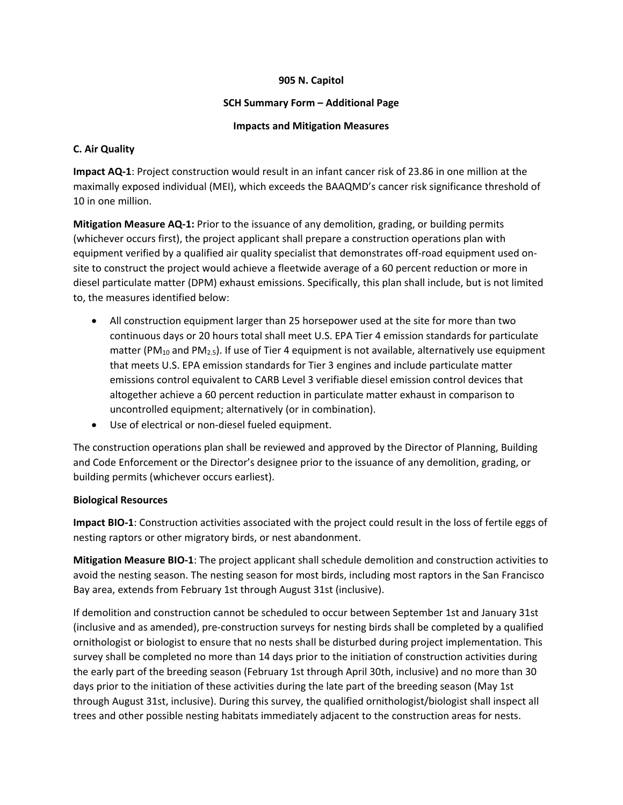### **905 N. Capitol**

### **SCH Summary Form – Additional Page**

## **Impacts and Mitigation Measures**

## **C. Air Quality**

**Impact AQ-1**: Project construction would result in an infant cancer risk of 23.86 in one million at the maximally exposed individual (MEI), which exceeds the BAAQMD's cancer risk significance threshold of 10 in one million.

**Mitigation Measure AQ-1:** Prior to the issuance of any demolition, grading, or building permits (whichever occurs first), the project applicant shall prepare a construction operations plan with equipment verified by a qualified air quality specialist that demonstrates off-road equipment used onsite to construct the project would achieve a fleetwide average of a 60 percent reduction or more in diesel particulate matter (DPM) exhaust emissions. Specifically, this plan shall include, but is not limited to, the measures identified below:

- All construction equipment larger than 25 horsepower used at the site for more than two continuous days or 20 hours total shall meet U.S. EPA Tier 4 emission standards for particulate matter (PM<sub>10</sub> and PM<sub>2.5</sub>). If use of Tier 4 equipment is not available, alternatively use equipment that meets U.S. EPA emission standards for Tier 3 engines and include particulate matter emissions control equivalent to CARB Level 3 verifiable diesel emission control devices that altogether achieve a 60 percent reduction in particulate matter exhaust in comparison to uncontrolled equipment; alternatively (or in combination).
- Use of electrical or non-diesel fueled equipment.

The construction operations plan shall be reviewed and approved by the Director of Planning, Building and Code Enforcement or the Director's designee prior to the issuance of any demolition, grading, or building permits (whichever occurs earliest).

## **Biological Resources**

**Impact BIO-1**: Construction activities associated with the project could result in the loss of fertile eggs of nesting raptors or other migratory birds, or nest abandonment.

**Mitigation Measure BIO-1**: The project applicant shall schedule demolition and construction activities to avoid the nesting season. The nesting season for most birds, including most raptors in the San Francisco Bay area, extends from February 1st through August 31st (inclusive).

If demolition and construction cannot be scheduled to occur between September 1st and January 31st (inclusive and as amended), pre-construction surveys for nesting birds shall be completed by a qualified ornithologist or biologist to ensure that no nests shall be disturbed during project implementation. This survey shall be completed no more than 14 days prior to the initiation of construction activities during the early part of the breeding season (February 1st through April 30th, inclusive) and no more than 30 days prior to the initiation of these activities during the late part of the breeding season (May 1st through August 31st, inclusive). During this survey, the qualified ornithologist/biologist shall inspect all trees and other possible nesting habitats immediately adjacent to the construction areas for nests.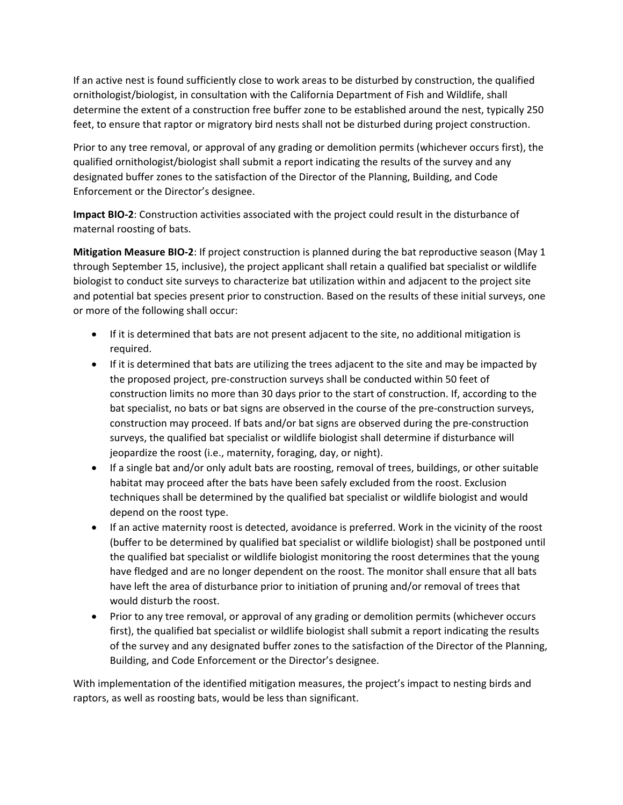If an active nest is found sufficiently close to work areas to be disturbed by construction, the qualified ornithologist/biologist, in consultation with the California Department of Fish and Wildlife, shall determine the extent of a construction free buffer zone to be established around the nest, typically 250 feet, to ensure that raptor or migratory bird nests shall not be disturbed during project construction.

Prior to any tree removal, or approval of any grading or demolition permits (whichever occurs first), the qualified ornithologist/biologist shall submit a report indicating the results of the survey and any designated buffer zones to the satisfaction of the Director of the Planning, Building, and Code Enforcement or the Director's designee.

**Impact BIO-2**: Construction activities associated with the project could result in the disturbance of maternal roosting of bats.

**Mitigation Measure BIO-2**: If project construction is planned during the bat reproductive season (May 1 through September 15, inclusive), the project applicant shall retain a qualified bat specialist or wildlife biologist to conduct site surveys to characterize bat utilization within and adjacent to the project site and potential bat species present prior to construction. Based on the results of these initial surveys, one or more of the following shall occur:

- If it is determined that bats are not present adjacent to the site, no additional mitigation is required.
- If it is determined that bats are utilizing the trees adjacent to the site and may be impacted by the proposed project, pre-construction surveys shall be conducted within 50 feet of construction limits no more than 30 days prior to the start of construction. If, according to the bat specialist, no bats or bat signs are observed in the course of the pre-construction surveys, construction may proceed. If bats and/or bat signs are observed during the pre-construction surveys, the qualified bat specialist or wildlife biologist shall determine if disturbance will jeopardize the roost (i.e., maternity, foraging, day, or night).
- If a single bat and/or only adult bats are roosting, removal of trees, buildings, or other suitable habitat may proceed after the bats have been safely excluded from the roost. Exclusion techniques shall be determined by the qualified bat specialist or wildlife biologist and would depend on the roost type.
- If an active maternity roost is detected, avoidance is preferred. Work in the vicinity of the roost (buffer to be determined by qualified bat specialist or wildlife biologist) shall be postponed until the qualified bat specialist or wildlife biologist monitoring the roost determines that the young have fledged and are no longer dependent on the roost. The monitor shall ensure that all bats have left the area of disturbance prior to initiation of pruning and/or removal of trees that would disturb the roost.
- Prior to any tree removal, or approval of any grading or demolition permits (whichever occurs first), the qualified bat specialist or wildlife biologist shall submit a report indicating the results of the survey and any designated buffer zones to the satisfaction of the Director of the Planning, Building, and Code Enforcement or the Director's designee.

With implementation of the identified mitigation measures, the project's impact to nesting birds and raptors, as well as roosting bats, would be less than significant.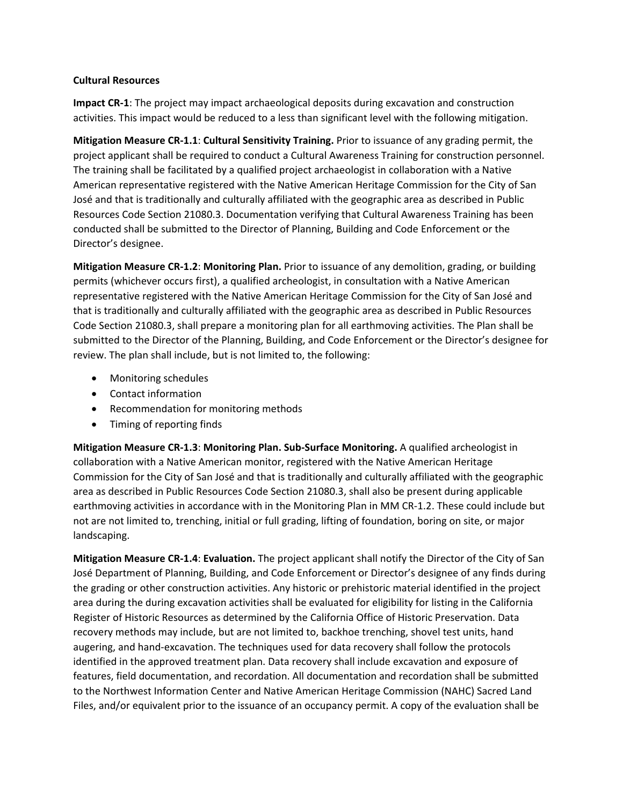#### **Cultural Resources**

**Impact CR-1**: The project may impact archaeological deposits during excavation and construction activities. This impact would be reduced to a less than significant level with the following mitigation.

**Mitigation Measure CR-1.1**: **Cultural Sensitivity Training.** Prior to issuance of any grading permit, the project applicant shall be required to conduct a Cultural Awareness Training for construction personnel. The training shall be facilitated by a qualified project archaeologist in collaboration with a Native American representative registered with the Native American Heritage Commission for the City of San José and that is traditionally and culturally affiliated with the geographic area as described in Public Resources Code Section 21080.3. Documentation verifying that Cultural Awareness Training has been conducted shall be submitted to the Director of Planning, Building and Code Enforcement or the Director's designee.

**Mitigation Measure CR-1.2**: **Monitoring Plan.** Prior to issuance of any demolition, grading, or building permits (whichever occurs first), a qualified archeologist, in consultation with a Native American representative registered with the Native American Heritage Commission for the City of San José and that is traditionally and culturally affiliated with the geographic area as described in Public Resources Code Section 21080.3, shall prepare a monitoring plan for all earthmoving activities. The Plan shall be submitted to the Director of the Planning, Building, and Code Enforcement or the Director's designee for review. The plan shall include, but is not limited to, the following:

- Monitoring schedules
- Contact information
- Recommendation for monitoring methods
- Timing of reporting finds

**Mitigation Measure CR-1.3**: **Monitoring Plan. Sub-Surface Monitoring.** A qualified archeologist in collaboration with a Native American monitor, registered with the Native American Heritage Commission for the City of San José and that is traditionally and culturally affiliated with the geographic area as described in Public Resources Code Section 21080.3, shall also be present during applicable earthmoving activities in accordance with in the Monitoring Plan in MM CR-1.2. These could include but not are not limited to, trenching, initial or full grading, lifting of foundation, boring on site, or major landscaping.

**Mitigation Measure CR-1.4**: **Evaluation.** The project applicant shall notify the Director of the City of San José Department of Planning, Building, and Code Enforcement or Director's designee of any finds during the grading or other construction activities. Any historic or prehistoric material identified in the project area during the during excavation activities shall be evaluated for eligibility for listing in the California Register of Historic Resources as determined by the California Office of Historic Preservation. Data recovery methods may include, but are not limited to, backhoe trenching, shovel test units, hand augering, and hand-excavation. The techniques used for data recovery shall follow the protocols identified in the approved treatment plan. Data recovery shall include excavation and exposure of features, field documentation, and recordation. All documentation and recordation shall be submitted to the Northwest Information Center and Native American Heritage Commission (NAHC) Sacred Land Files, and/or equivalent prior to the issuance of an occupancy permit. A copy of the evaluation shall be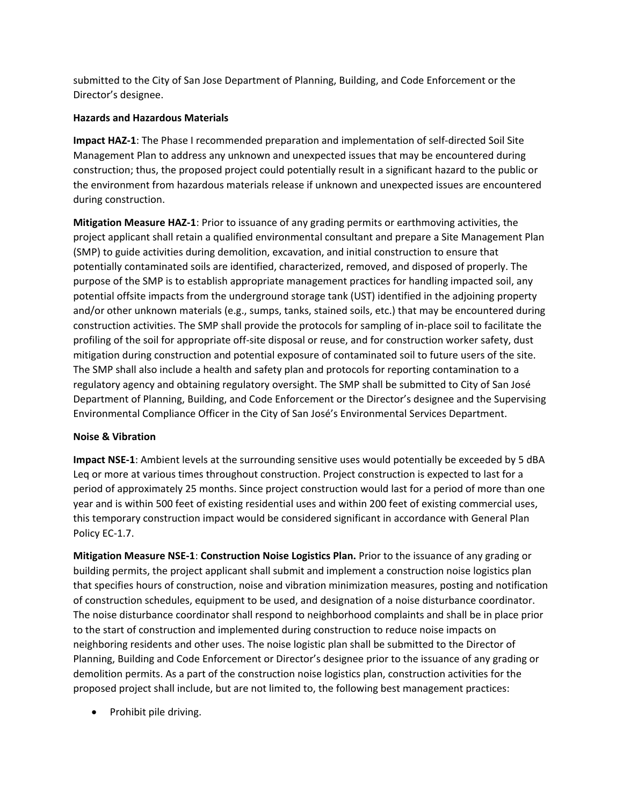submitted to the City of San Jose Department of Planning, Building, and Code Enforcement or the Director's designee.

## **Hazards and Hazardous Materials**

**Impact HAZ-1**: The Phase I recommended preparation and implementation of self-directed Soil Site Management Plan to address any unknown and unexpected issues that may be encountered during construction; thus, the proposed project could potentially result in a significant hazard to the public or the environment from hazardous materials release if unknown and unexpected issues are encountered during construction.

**Mitigation Measure HAZ-1**: Prior to issuance of any grading permits or earthmoving activities, the project applicant shall retain a qualified environmental consultant and prepare a Site Management Plan (SMP) to guide activities during demolition, excavation, and initial construction to ensure that potentially contaminated soils are identified, characterized, removed, and disposed of properly. The purpose of the SMP is to establish appropriate management practices for handling impacted soil, any potential offsite impacts from the underground storage tank (UST) identified in the adjoining property and/or other unknown materials (e.g., sumps, tanks, stained soils, etc.) that may be encountered during construction activities. The SMP shall provide the protocols for sampling of in-place soil to facilitate the profiling of the soil for appropriate off-site disposal or reuse, and for construction worker safety, dust mitigation during construction and potential exposure of contaminated soil to future users of the site. The SMP shall also include a health and safety plan and protocols for reporting contamination to a regulatory agency and obtaining regulatory oversight. The SMP shall be submitted to City of San José Department of Planning, Building, and Code Enforcement or the Director's designee and the Supervising Environmental Compliance Officer in the City of San José's Environmental Services Department.

### **Noise & Vibration**

**Impact NSE-1**: Ambient levels at the surrounding sensitive uses would potentially be exceeded by 5 dBA Leq or more at various times throughout construction. Project construction is expected to last for a period of approximately 25 months. Since project construction would last for a period of more than one year and is within 500 feet of existing residential uses and within 200 feet of existing commercial uses, this temporary construction impact would be considered significant in accordance with General Plan Policy EC-1.7.

**Mitigation Measure NSE-1**: **Construction Noise Logistics Plan.** Prior to the issuance of any grading or building permits, the project applicant shall submit and implement a construction noise logistics plan that specifies hours of construction, noise and vibration minimization measures, posting and notification of construction schedules, equipment to be used, and designation of a noise disturbance coordinator. The noise disturbance coordinator shall respond to neighborhood complaints and shall be in place prior to the start of construction and implemented during construction to reduce noise impacts on neighboring residents and other uses. The noise logistic plan shall be submitted to the Director of Planning, Building and Code Enforcement or Director's designee prior to the issuance of any grading or demolition permits. As a part of the construction noise logistics plan, construction activities for the proposed project shall include, but are not limited to, the following best management practices:

• Prohibit pile driving.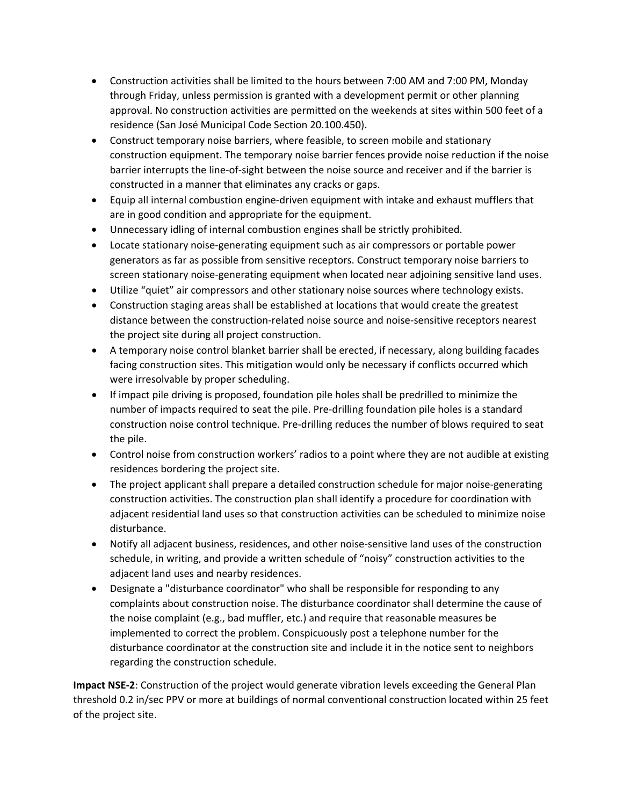- Construction activities shall be limited to the hours between 7:00 AM and 7:00 PM, Monday through Friday, unless permission is granted with a development permit or other planning approval. No construction activities are permitted on the weekends at sites within 500 feet of a residence (San José Municipal Code Section 20.100.450).
- Construct temporary noise barriers, where feasible, to screen mobile and stationary construction equipment. The temporary noise barrier fences provide noise reduction if the noise barrier interrupts the line-of-sight between the noise source and receiver and if the barrier is constructed in a manner that eliminates any cracks or gaps.
- Equip all internal combustion engine-driven equipment with intake and exhaust mufflers that are in good condition and appropriate for the equipment.
- Unnecessary idling of internal combustion engines shall be strictly prohibited.
- Locate stationary noise-generating equipment such as air compressors or portable power generators as far as possible from sensitive receptors. Construct temporary noise barriers to screen stationary noise-generating equipment when located near adjoining sensitive land uses.
- Utilize "quiet" air compressors and other stationary noise sources where technology exists.
- Construction staging areas shall be established at locations that would create the greatest distance between the construction-related noise source and noise-sensitive receptors nearest the project site during all project construction.
- A temporary noise control blanket barrier shall be erected, if necessary, along building facades facing construction sites. This mitigation would only be necessary if conflicts occurred which were irresolvable by proper scheduling.
- If impact pile driving is proposed, foundation pile holes shall be predrilled to minimize the number of impacts required to seat the pile. Pre-drilling foundation pile holes is a standard construction noise control technique. Pre-drilling reduces the number of blows required to seat the pile.
- Control noise from construction workers' radios to a point where they are not audible at existing residences bordering the project site.
- The project applicant shall prepare a detailed construction schedule for major noise-generating construction activities. The construction plan shall identify a procedure for coordination with adjacent residential land uses so that construction activities can be scheduled to minimize noise disturbance.
- Notify all adjacent business, residences, and other noise-sensitive land uses of the construction schedule, in writing, and provide a written schedule of "noisy" construction activities to the adjacent land uses and nearby residences.
- Designate a "disturbance coordinator" who shall be responsible for responding to any complaints about construction noise. The disturbance coordinator shall determine the cause of the noise complaint (e.g., bad muffler, etc.) and require that reasonable measures be implemented to correct the problem. Conspicuously post a telephone number for the disturbance coordinator at the construction site and include it in the notice sent to neighbors regarding the construction schedule.

**Impact NSE-2**: Construction of the project would generate vibration levels exceeding the General Plan threshold 0.2 in/sec PPV or more at buildings of normal conventional construction located within 25 feet of the project site.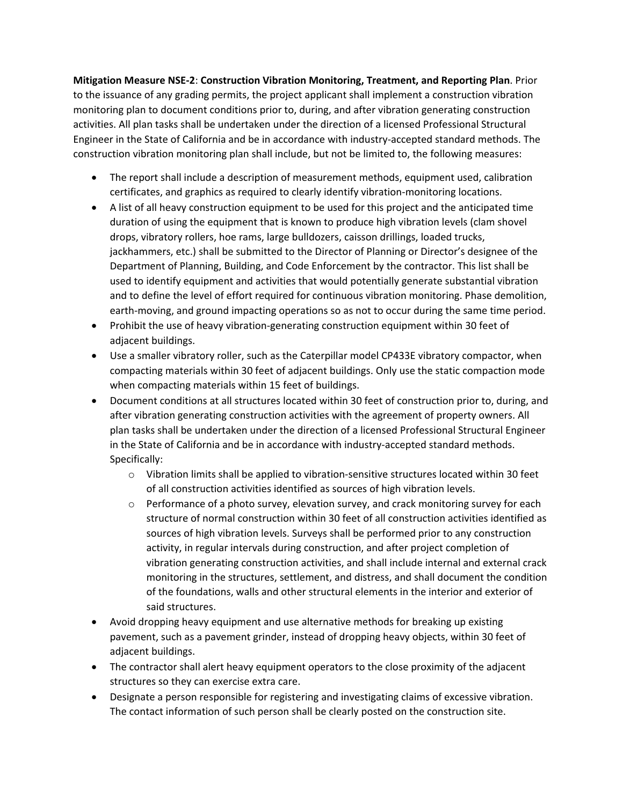**Mitigation Measure NSE-2**: **Construction Vibration Monitoring, Treatment, and Reporting Plan**. Prior to the issuance of any grading permits, the project applicant shall implement a construction vibration monitoring plan to document conditions prior to, during, and after vibration generating construction activities. All plan tasks shall be undertaken under the direction of a licensed Professional Structural Engineer in the State of California and be in accordance with industry-accepted standard methods. The construction vibration monitoring plan shall include, but not be limited to, the following measures:

- The report shall include a description of measurement methods, equipment used, calibration certificates, and graphics as required to clearly identify vibration-monitoring locations.
- A list of all heavy construction equipment to be used for this project and the anticipated time duration of using the equipment that is known to produce high vibration levels (clam shovel drops, vibratory rollers, hoe rams, large bulldozers, caisson drillings, loaded trucks, jackhammers, etc.) shall be submitted to the Director of Planning or Director's designee of the Department of Planning, Building, and Code Enforcement by the contractor. This list shall be used to identify equipment and activities that would potentially generate substantial vibration and to define the level of effort required for continuous vibration monitoring. Phase demolition, earth-moving, and ground impacting operations so as not to occur during the same time period.
- Prohibit the use of heavy vibration-generating construction equipment within 30 feet of adjacent buildings.
- Use a smaller vibratory roller, such as the Caterpillar model CP433E vibratory compactor, when compacting materials within 30 feet of adjacent buildings. Only use the static compaction mode when compacting materials within 15 feet of buildings.
- Document conditions at all structures located within 30 feet of construction prior to, during, and after vibration generating construction activities with the agreement of property owners. All plan tasks shall be undertaken under the direction of a licensed Professional Structural Engineer in the State of California and be in accordance with industry-accepted standard methods. Specifically:
	- $\circ$  Vibration limits shall be applied to vibration-sensitive structures located within 30 feet of all construction activities identified as sources of high vibration levels.
	- o Performance of a photo survey, elevation survey, and crack monitoring survey for each structure of normal construction within 30 feet of all construction activities identified as sources of high vibration levels. Surveys shall be performed prior to any construction activity, in regular intervals during construction, and after project completion of vibration generating construction activities, and shall include internal and external crack monitoring in the structures, settlement, and distress, and shall document the condition of the foundations, walls and other structural elements in the interior and exterior of said structures.
- Avoid dropping heavy equipment and use alternative methods for breaking up existing pavement, such as a pavement grinder, instead of dropping heavy objects, within 30 feet of adjacent buildings.
- The contractor shall alert heavy equipment operators to the close proximity of the adjacent structures so they can exercise extra care.
- Designate a person responsible for registering and investigating claims of excessive vibration. The contact information of such person shall be clearly posted on the construction site.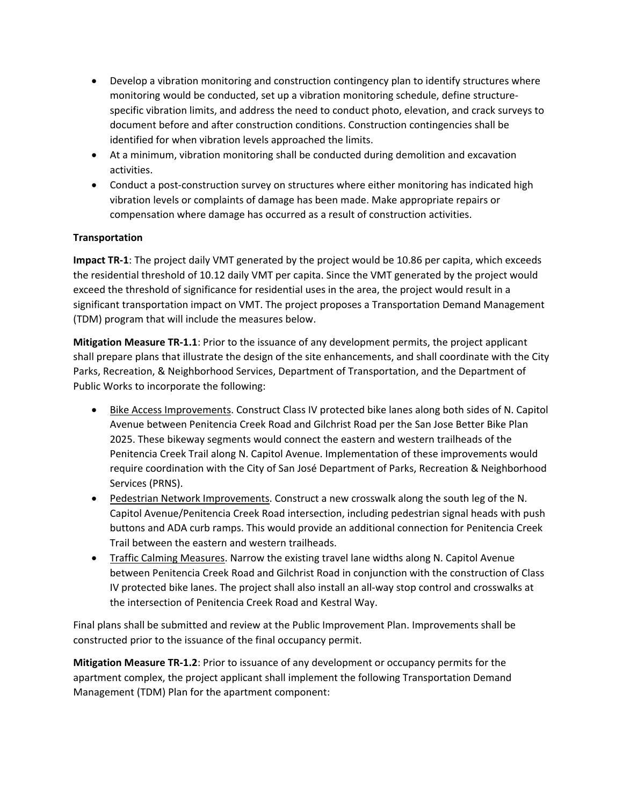- Develop a vibration monitoring and construction contingency plan to identify structures where monitoring would be conducted, set up a vibration monitoring schedule, define structurespecific vibration limits, and address the need to conduct photo, elevation, and crack surveys to document before and after construction conditions. Construction contingencies shall be identified for when vibration levels approached the limits.
- At a minimum, vibration monitoring shall be conducted during demolition and excavation activities.
- Conduct a post-construction survey on structures where either monitoring has indicated high vibration levels or complaints of damage has been made. Make appropriate repairs or compensation where damage has occurred as a result of construction activities.

# **Transportation**

**Impact TR-1**: The project daily VMT generated by the project would be 10.86 per capita, which exceeds the residential threshold of 10.12 daily VMT per capita. Since the VMT generated by the project would exceed the threshold of significance for residential uses in the area, the project would result in a significant transportation impact on VMT. The project proposes a Transportation Demand Management (TDM) program that will include the measures below.

**Mitigation Measure TR-1.1**: Prior to the issuance of any development permits, the project applicant shall prepare plans that illustrate the design of the site enhancements, and shall coordinate with the City Parks, Recreation, & Neighborhood Services, Department of Transportation, and the Department of Public Works to incorporate the following:

- Bike Access Improvements. Construct Class IV protected bike lanes along both sides of N. Capitol Avenue between Penitencia Creek Road and Gilchrist Road per the San Jose Better Bike Plan 2025. These bikeway segments would connect the eastern and western trailheads of the Penitencia Creek Trail along N. Capitol Avenue. Implementation of these improvements would require coordination with the City of San José Department of Parks, Recreation & Neighborhood Services (PRNS).
- Pedestrian Network Improvements. Construct a new crosswalk along the south leg of the N. Capitol Avenue/Penitencia Creek Road intersection, including pedestrian signal heads with push buttons and ADA curb ramps. This would provide an additional connection for Penitencia Creek Trail between the eastern and western trailheads.
- Traffic Calming Measures. Narrow the existing travel lane widths along N. Capitol Avenue between Penitencia Creek Road and Gilchrist Road in conjunction with the construction of Class IV protected bike lanes. The project shall also install an all-way stop control and crosswalks at the intersection of Penitencia Creek Road and Kestral Way.

Final plans shall be submitted and review at the Public Improvement Plan. Improvements shall be constructed prior to the issuance of the final occupancy permit.

**Mitigation Measure TR-1.2**: Prior to issuance of any development or occupancy permits for the apartment complex, the project applicant shall implement the following Transportation Demand Management (TDM) Plan for the apartment component: